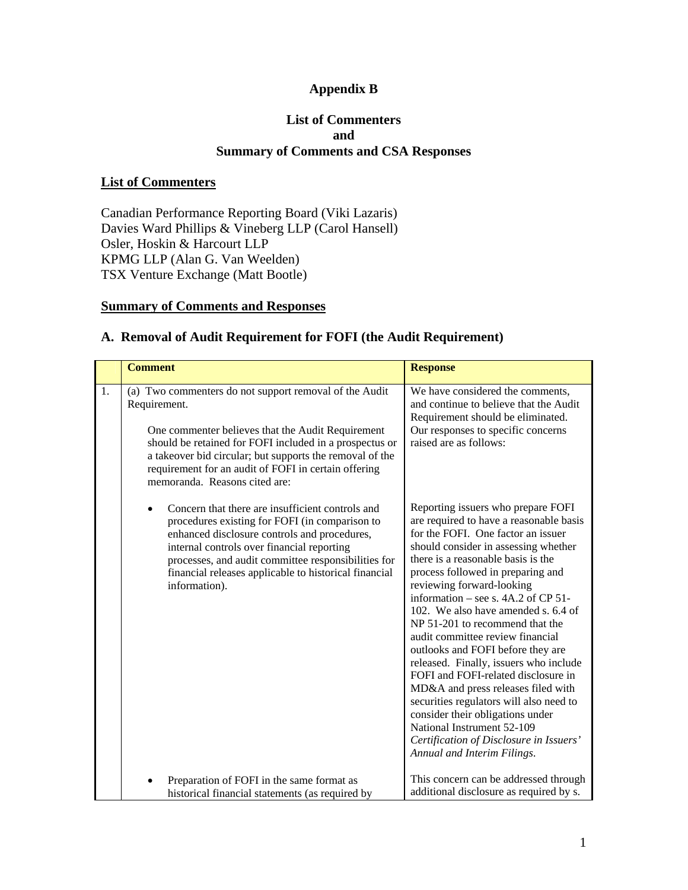### **Appendix B**

#### **List of Commenters and Summary of Comments and CSA Responses**

#### **List of Commenters**

Canadian Performance Reporting Board (Viki Lazaris) Davies Ward Phillips & Vineberg LLP (Carol Hansell) Osler, Hoskin & Harcourt LLP KPMG LLP (Alan G. Van Weelden) TSX Venture Exchange (Matt Bootle)

### **Summary of Comments and Responses**

#### **A. Removal of Audit Requirement for FOFI (the Audit Requirement)**

|    | <b>Comment</b>                                                                                                                                                                                                                                                                                                                              | <b>Response</b>                                                                                                                                                                                                                                                                                                                                                                                                                                                                                                                                                                                                                                                                                                                                                               |
|----|---------------------------------------------------------------------------------------------------------------------------------------------------------------------------------------------------------------------------------------------------------------------------------------------------------------------------------------------|-------------------------------------------------------------------------------------------------------------------------------------------------------------------------------------------------------------------------------------------------------------------------------------------------------------------------------------------------------------------------------------------------------------------------------------------------------------------------------------------------------------------------------------------------------------------------------------------------------------------------------------------------------------------------------------------------------------------------------------------------------------------------------|
| 1. | (a) Two commenters do not support removal of the Audit<br>Requirement.<br>One commenter believes that the Audit Requirement<br>should be retained for FOFI included in a prospectus or<br>a takeover bid circular; but supports the removal of the<br>requirement for an audit of FOFI in certain offering<br>memoranda. Reasons cited are: | We have considered the comments,<br>and continue to believe that the Audit<br>Requirement should be eliminated.<br>Our responses to specific concerns<br>raised are as follows:                                                                                                                                                                                                                                                                                                                                                                                                                                                                                                                                                                                               |
|    | Concern that there are insufficient controls and<br>procedures existing for FOFI (in comparison to<br>enhanced disclosure controls and procedures,<br>internal controls over financial reporting<br>processes, and audit committee responsibilities for<br>financial releases applicable to historical financial<br>information).           | Reporting issuers who prepare FOFI<br>are required to have a reasonable basis<br>for the FOFI. One factor an issuer<br>should consider in assessing whether<br>there is a reasonable basis is the<br>process followed in preparing and<br>reviewing forward-looking<br>information – see s. $4A.2$ of CP 51-<br>102. We also have amended s. 6.4 of<br>NP 51-201 to recommend that the<br>audit committee review financial<br>outlooks and FOFI before they are<br>released. Finally, issuers who include<br>FOFI and FOFI-related disclosure in<br>MD&A and press releases filed with<br>securities regulators will also need to<br>consider their obligations under<br>National Instrument 52-109<br>Certification of Disclosure in Issuers'<br>Annual and Interim Filings. |
|    | Preparation of FOFI in the same format as<br>historical financial statements (as required by                                                                                                                                                                                                                                                | This concern can be addressed through<br>additional disclosure as required by s.                                                                                                                                                                                                                                                                                                                                                                                                                                                                                                                                                                                                                                                                                              |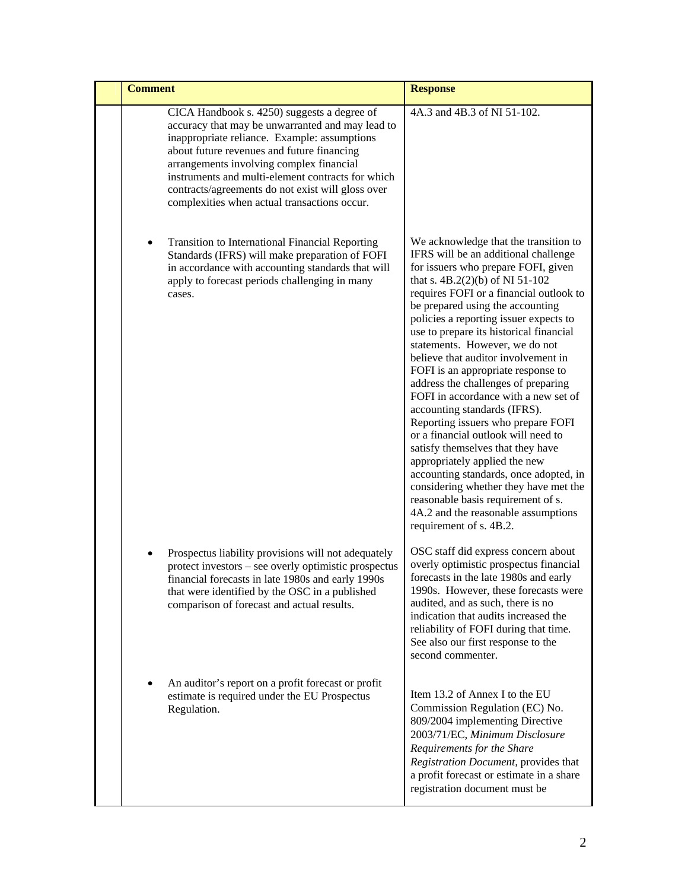| <b>Comment</b> |                                                                                                                                                                                                                                                                                                                                                                                                     | <b>Response</b>                                                                                                                                                                                                                                                                                                                                                                                                                                                                                                                                                                                                                                                                                                                                                                                                                                                                                         |
|----------------|-----------------------------------------------------------------------------------------------------------------------------------------------------------------------------------------------------------------------------------------------------------------------------------------------------------------------------------------------------------------------------------------------------|---------------------------------------------------------------------------------------------------------------------------------------------------------------------------------------------------------------------------------------------------------------------------------------------------------------------------------------------------------------------------------------------------------------------------------------------------------------------------------------------------------------------------------------------------------------------------------------------------------------------------------------------------------------------------------------------------------------------------------------------------------------------------------------------------------------------------------------------------------------------------------------------------------|
|                | CICA Handbook s. 4250) suggests a degree of<br>accuracy that may be unwarranted and may lead to<br>inappropriate reliance. Example: assumptions<br>about future revenues and future financing<br>arrangements involving complex financial<br>instruments and multi-element contracts for which<br>contracts/agreements do not exist will gloss over<br>complexities when actual transactions occur. | 4A.3 and 4B.3 of NI 51-102.                                                                                                                                                                                                                                                                                                                                                                                                                                                                                                                                                                                                                                                                                                                                                                                                                                                                             |
| ٠              | Transition to International Financial Reporting<br>Standards (IFRS) will make preparation of FOFI<br>in accordance with accounting standards that will<br>apply to forecast periods challenging in many<br>cases.                                                                                                                                                                                   | We acknowledge that the transition to<br>IFRS will be an additional challenge<br>for issuers who prepare FOFI, given<br>that s. 4B.2(2)(b) of NI 51-102<br>requires FOFI or a financial outlook to<br>be prepared using the accounting<br>policies a reporting issuer expects to<br>use to prepare its historical financial<br>statements. However, we do not<br>believe that auditor involvement in<br>FOFI is an appropriate response to<br>address the challenges of preparing<br>FOFI in accordance with a new set of<br>accounting standards (IFRS).<br>Reporting issuers who prepare FOFI<br>or a financial outlook will need to<br>satisfy themselves that they have<br>appropriately applied the new<br>accounting standards, once adopted, in<br>considering whether they have met the<br>reasonable basis requirement of s.<br>4A.2 and the reasonable assumptions<br>requirement of s. 4B.2. |
|                | Prospectus liability provisions will not adequately<br>protect investors – see overly optimistic prospectus<br>financial forecasts in late 1980s and early 1990s<br>that were identified by the OSC in a published<br>comparison of forecast and actual results.                                                                                                                                    | OSC staff did express concern about<br>overly optimistic prospectus financial<br>forecasts in the late 1980s and early<br>1990s. However, these forecasts were<br>audited, and as such, there is no<br>indication that audits increased the<br>reliability of FOFI during that time.<br>See also our first response to the<br>second commenter.                                                                                                                                                                                                                                                                                                                                                                                                                                                                                                                                                         |
|                | An auditor's report on a profit forecast or profit<br>estimate is required under the EU Prospectus<br>Regulation.                                                                                                                                                                                                                                                                                   | Item 13.2 of Annex I to the EU<br>Commission Regulation (EC) No.<br>809/2004 implementing Directive<br>2003/71/EC, Minimum Disclosure<br>Requirements for the Share<br>Registration Document, provides that<br>a profit forecast or estimate in a share<br>registration document must be                                                                                                                                                                                                                                                                                                                                                                                                                                                                                                                                                                                                                |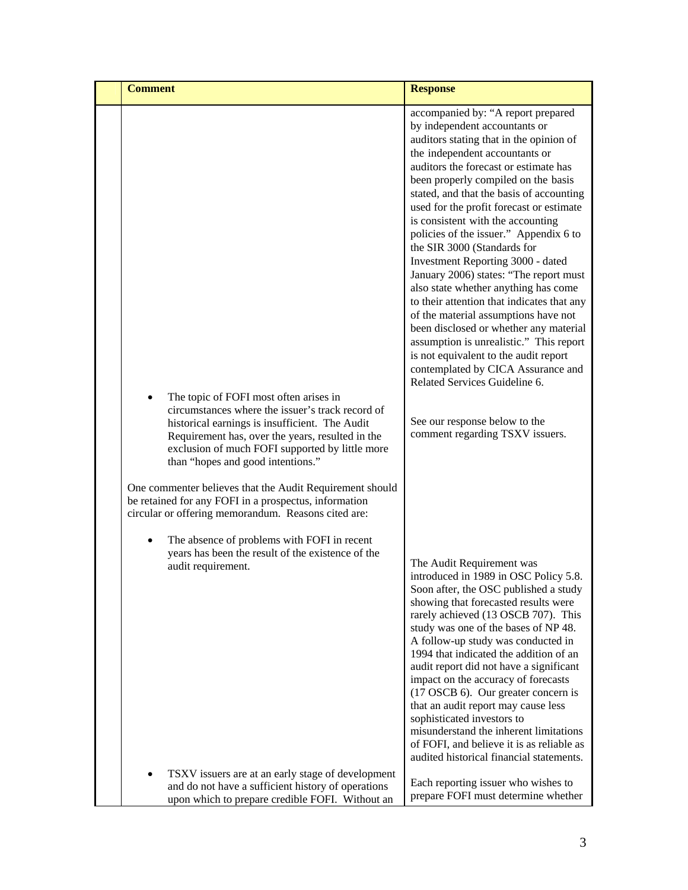| <b>Comment</b> |                                                                                                                                                                                                                                                                                                                                                                                                                                                                                                                                                                                                | <b>Response</b>                                                                                                                                                                                                                                                                                                                                                                                                                                                                                                                                                                                                                                                                                                                                                                                                                                                                                                                                                                                                                                                                                                                                                                                                                                    |
|----------------|------------------------------------------------------------------------------------------------------------------------------------------------------------------------------------------------------------------------------------------------------------------------------------------------------------------------------------------------------------------------------------------------------------------------------------------------------------------------------------------------------------------------------------------------------------------------------------------------|----------------------------------------------------------------------------------------------------------------------------------------------------------------------------------------------------------------------------------------------------------------------------------------------------------------------------------------------------------------------------------------------------------------------------------------------------------------------------------------------------------------------------------------------------------------------------------------------------------------------------------------------------------------------------------------------------------------------------------------------------------------------------------------------------------------------------------------------------------------------------------------------------------------------------------------------------------------------------------------------------------------------------------------------------------------------------------------------------------------------------------------------------------------------------------------------------------------------------------------------------|
|                | The topic of FOFI most often arises in<br>circumstances where the issuer's track record of<br>historical earnings is insufficient. The Audit<br>Requirement has, over the years, resulted in the<br>exclusion of much FOFI supported by little more<br>than "hopes and good intentions."<br>One commenter believes that the Audit Requirement should<br>be retained for any FOFI in a prospectus, information<br>circular or offering memorandum. Reasons cited are:<br>The absence of problems with FOFI in recent<br>years has been the result of the existence of the<br>audit requirement. | accompanied by: "A report prepared<br>by independent accountants or<br>auditors stating that in the opinion of<br>the independent accountants or<br>auditors the forecast or estimate has<br>been properly compiled on the basis<br>stated, and that the basis of accounting<br>used for the profit forecast or estimate<br>is consistent with the accounting<br>policies of the issuer." Appendix 6 to<br>the SIR 3000 (Standards for<br>Investment Reporting 3000 - dated<br>January 2006) states: "The report must<br>also state whether anything has come<br>to their attention that indicates that any<br>of the material assumptions have not<br>been disclosed or whether any material<br>assumption is unrealistic." This report<br>is not equivalent to the audit report<br>contemplated by CICA Assurance and<br>Related Services Guideline 6.<br>See our response below to the<br>comment regarding TSXV issuers.<br>The Audit Requirement was<br>introduced in 1989 in OSC Policy 5.8.<br>Soon after, the OSC published a study<br>showing that forecasted results were<br>rarely achieved (13 OSCB 707). This<br>study was one of the bases of NP 48.<br>A follow-up study was conducted in<br>1994 that indicated the addition of an |
|                |                                                                                                                                                                                                                                                                                                                                                                                                                                                                                                                                                                                                | audit report did not have a significant<br>impact on the accuracy of forecasts<br>(17 OSCB 6). Our greater concern is<br>that an audit report may cause less<br>sophisticated investors to<br>misunderstand the inherent limitations<br>of FOFI, and believe it is as reliable as                                                                                                                                                                                                                                                                                                                                                                                                                                                                                                                                                                                                                                                                                                                                                                                                                                                                                                                                                                  |
|                |                                                                                                                                                                                                                                                                                                                                                                                                                                                                                                                                                                                                | audited historical financial statements.                                                                                                                                                                                                                                                                                                                                                                                                                                                                                                                                                                                                                                                                                                                                                                                                                                                                                                                                                                                                                                                                                                                                                                                                           |
|                | TSXV issuers are at an early stage of development<br>and do not have a sufficient history of operations<br>upon which to prepare credible FOFI. Without an                                                                                                                                                                                                                                                                                                                                                                                                                                     | Each reporting issuer who wishes to<br>prepare FOFI must determine whether                                                                                                                                                                                                                                                                                                                                                                                                                                                                                                                                                                                                                                                                                                                                                                                                                                                                                                                                                                                                                                                                                                                                                                         |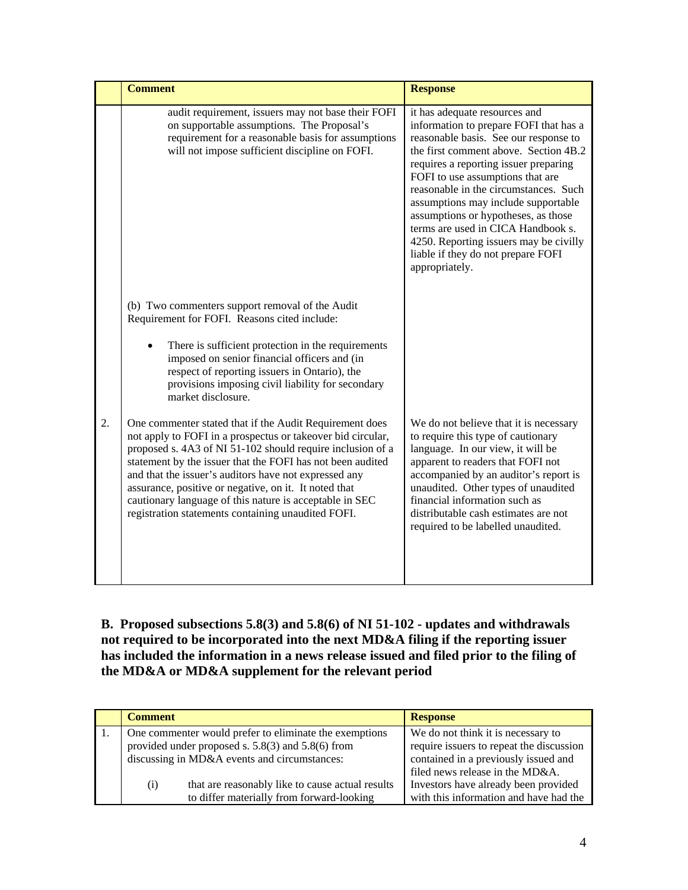|    | <b>Comment</b>                                                                                                                                                                                                                                                                                                                                                                                                                                                                                                            | <b>Response</b>                                                                                                                                                                                                                                                                                                                                                                                                                                                                                       |
|----|---------------------------------------------------------------------------------------------------------------------------------------------------------------------------------------------------------------------------------------------------------------------------------------------------------------------------------------------------------------------------------------------------------------------------------------------------------------------------------------------------------------------------|-------------------------------------------------------------------------------------------------------------------------------------------------------------------------------------------------------------------------------------------------------------------------------------------------------------------------------------------------------------------------------------------------------------------------------------------------------------------------------------------------------|
|    | audit requirement, issuers may not base their FOFI<br>on supportable assumptions. The Proposal's<br>requirement for a reasonable basis for assumptions<br>will not impose sufficient discipline on FOFI.                                                                                                                                                                                                                                                                                                                  | it has adequate resources and<br>information to prepare FOFI that has a<br>reasonable basis. See our response to<br>the first comment above. Section 4B.2<br>requires a reporting issuer preparing<br>FOFI to use assumptions that are<br>reasonable in the circumstances. Such<br>assumptions may include supportable<br>assumptions or hypotheses, as those<br>terms are used in CICA Handbook s.<br>4250. Reporting issuers may be civilly<br>liable if they do not prepare FOFI<br>appropriately. |
| 2. | (b) Two commenters support removal of the Audit<br>Requirement for FOFI. Reasons cited include:<br>There is sufficient protection in the requirements<br>imposed on senior financial officers and (in<br>respect of reporting issuers in Ontario), the<br>provisions imposing civil liability for secondary<br>market disclosure.<br>One commenter stated that if the Audit Requirement does<br>not apply to FOFI in a prospectus or takeover bid circular,<br>proposed s. 4A3 of NI 51-102 should require inclusion of a | We do not believe that it is necessary<br>to require this type of cautionary<br>language. In our view, it will be                                                                                                                                                                                                                                                                                                                                                                                     |
|    | statement by the issuer that the FOFI has not been audited<br>and that the issuer's auditors have not expressed any<br>assurance, positive or negative, on it. It noted that<br>cautionary language of this nature is acceptable in SEC<br>registration statements containing unaudited FOFI.                                                                                                                                                                                                                             | apparent to readers that FOFI not<br>accompanied by an auditor's report is<br>unaudited. Other types of unaudited<br>financial information such as<br>distributable cash estimates are not<br>required to be labelled unaudited.                                                                                                                                                                                                                                                                      |

**B. Proposed subsections 5.8(3) and 5.8(6) of NI 51-102 - updates and withdrawals not required to be incorporated into the next MD&A filing if the reporting issuer has included the information in a news release issued and filed prior to the filing of the MD&A or MD&A supplement for the relevant period** 

| <b>Comment</b>                               |                                                        | <b>Response</b>                          |
|----------------------------------------------|--------------------------------------------------------|------------------------------------------|
|                                              | One commenter would prefer to eliminate the exemptions | We do not think it is necessary to       |
|                                              | provided under proposed s. $5.8(3)$ and $5.8(6)$ from  | require issuers to repeat the discussion |
| discussing in MD&A events and circumstances: |                                                        | contained in a previously issued and     |
|                                              |                                                        | filed news release in the MD&A.          |
| (i)                                          | that are reasonably like to cause actual results       | Investors have already been provided     |
|                                              | to differ materially from forward-looking              | with this information and have had the   |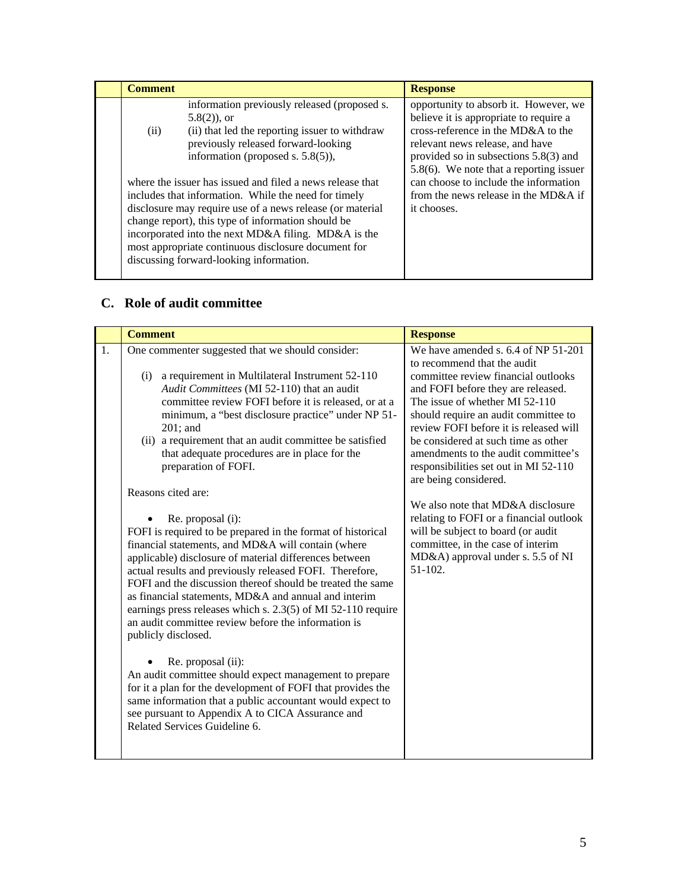| <b>Comment</b> |                                                                                                                                                                                                                                                                                                                                  | <b>Response</b>                                                                                                                                                                                                                                                                            |
|----------------|----------------------------------------------------------------------------------------------------------------------------------------------------------------------------------------------------------------------------------------------------------------------------------------------------------------------------------|--------------------------------------------------------------------------------------------------------------------------------------------------------------------------------------------------------------------------------------------------------------------------------------------|
| (ii)           | information previously released (proposed s.<br>$5.8(2)$ , or<br>(ii) that led the reporting issuer to withdraw<br>previously released forward-looking<br>information (proposed s. 5.8(5)),<br>where the issuer has issued and filed a news release that                                                                         | opportunity to absorb it. However, we<br>believe it is appropriate to require a<br>cross-reference in the MD&A to the<br>relevant news release, and have<br>provided so in subsections $5.8(3)$ and<br>$5.8(6)$ . We note that a reporting issuer<br>can choose to include the information |
|                | includes that information. While the need for timely<br>disclosure may require use of a news release (or material<br>change report), this type of information should be<br>incorporated into the next MD&A filing. MD&A is the<br>most appropriate continuous disclosure document for<br>discussing forward-looking information. | from the news release in the MD&A if<br>it chooses.                                                                                                                                                                                                                                        |

## **C. Role of audit committee**

| 1.<br>One commenter suggested that we should consider:<br>to recommend that the audit                                                                                                                                                                                                                                                                                                                                                                                                                                                                                                                                                                                                                                                                                                                                                                                                                                                                                                                                                                                                                                                                                                                                                                                                                                                                                                                                                                                                                                                                                                                                                                                                                       | <b>Comment</b> | <b>Response</b>                                                                                                       |
|-------------------------------------------------------------------------------------------------------------------------------------------------------------------------------------------------------------------------------------------------------------------------------------------------------------------------------------------------------------------------------------------------------------------------------------------------------------------------------------------------------------------------------------------------------------------------------------------------------------------------------------------------------------------------------------------------------------------------------------------------------------------------------------------------------------------------------------------------------------------------------------------------------------------------------------------------------------------------------------------------------------------------------------------------------------------------------------------------------------------------------------------------------------------------------------------------------------------------------------------------------------------------------------------------------------------------------------------------------------------------------------------------------------------------------------------------------------------------------------------------------------------------------------------------------------------------------------------------------------------------------------------------------------------------------------------------------------|----------------|-----------------------------------------------------------------------------------------------------------------------|
| a requirement in Multilateral Instrument 52-110<br>(i)<br>Audit Committees (MI 52-110) that an audit<br>and FOFI before they are released.<br>committee review FOFI before it is released, or at a<br>The issue of whether MI 52-110<br>minimum, a "best disclosure practice" under NP 51-<br>should require an audit committee to<br>review FOFI before it is released will<br>$201$ ; and<br>be considered at such time as other<br>(ii) a requirement that an audit committee be satisfied<br>that adequate procedures are in place for the<br>amendments to the audit committee's<br>preparation of FOFI.<br>responsibilities set out in MI 52-110<br>are being considered.<br>Reasons cited are:<br>We also note that MD&A disclosure<br>Re. proposal (i):<br>will be subject to board (or audit<br>FOFI is required to be prepared in the format of historical<br>committee, in the case of interim<br>financial statements, and MD&A will contain (where<br>MD&A) approval under s. 5.5 of NI<br>applicable) disclosure of material differences between<br>$51-102.$<br>actual results and previously released FOFI. Therefore,<br>FOFI and the discussion thereof should be treated the same<br>as financial statements, MD&A and annual and interim<br>earnings press releases which s. 2.3(5) of MI 52-110 require<br>an audit committee review before the information is<br>publicly disclosed.<br>Re. proposal (ii):<br>An audit committee should expect management to prepare<br>for it a plan for the development of FOFI that provides the<br>same information that a public accountant would expect to<br>see pursuant to Appendix A to CICA Assurance and<br>Related Services Guideline 6. |                | We have amended s. 6.4 of NP 51-201<br>committee review financial outlooks<br>relating to FOFI or a financial outlook |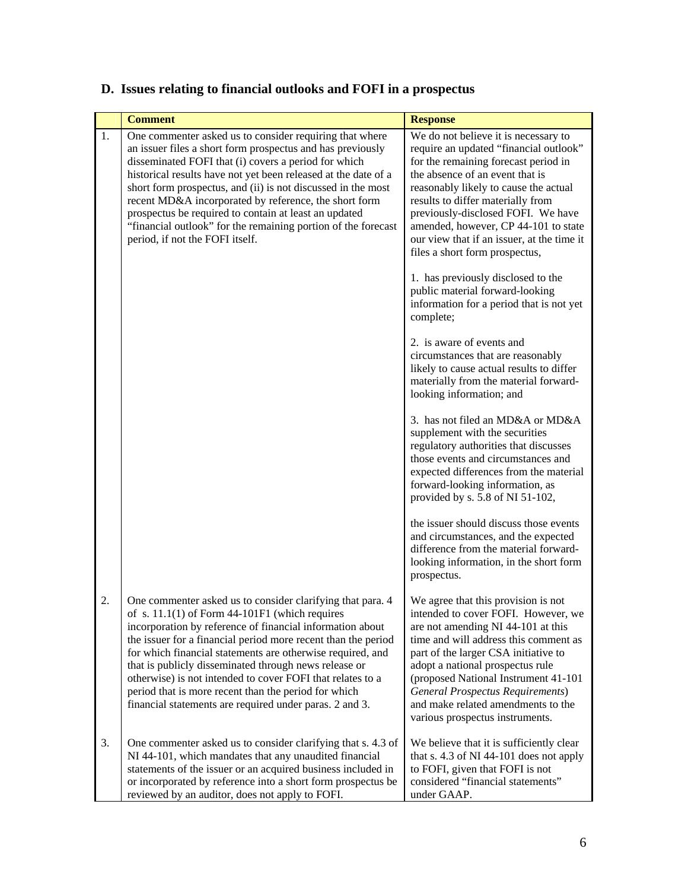# **D. Issues relating to financial outlooks and FOFI in a prospectus**

|    | <b>Comment</b>                                                                                                                                                                                                                                                                                                                                                                                                                                                                                                                                       | <b>Response</b>                                                                                                                                                                                                                                                                                                                                                                                       |
|----|------------------------------------------------------------------------------------------------------------------------------------------------------------------------------------------------------------------------------------------------------------------------------------------------------------------------------------------------------------------------------------------------------------------------------------------------------------------------------------------------------------------------------------------------------|-------------------------------------------------------------------------------------------------------------------------------------------------------------------------------------------------------------------------------------------------------------------------------------------------------------------------------------------------------------------------------------------------------|
| 1. | One commenter asked us to consider requiring that where<br>an issuer files a short form prospectus and has previously<br>disseminated FOFI that (i) covers a period for which<br>historical results have not yet been released at the date of a<br>short form prospectus, and (ii) is not discussed in the most<br>recent MD&A incorporated by reference, the short form<br>prospectus be required to contain at least an updated<br>"financial outlook" for the remaining portion of the forecast<br>period, if not the FOFI itself.                | We do not believe it is necessary to<br>require an updated "financial outlook"<br>for the remaining forecast period in<br>the absence of an event that is<br>reasonably likely to cause the actual<br>results to differ materially from<br>previously-disclosed FOFI. We have<br>amended, however, CP 44-101 to state<br>our view that if an issuer, at the time it<br>files a short form prospectus, |
|    |                                                                                                                                                                                                                                                                                                                                                                                                                                                                                                                                                      | 1. has previously disclosed to the<br>public material forward-looking<br>information for a period that is not yet<br>complete;                                                                                                                                                                                                                                                                        |
|    |                                                                                                                                                                                                                                                                                                                                                                                                                                                                                                                                                      | 2. is aware of events and<br>circumstances that are reasonably<br>likely to cause actual results to differ<br>materially from the material forward-<br>looking information; and                                                                                                                                                                                                                       |
|    |                                                                                                                                                                                                                                                                                                                                                                                                                                                                                                                                                      | 3. has not filed an MD&A or MD&A<br>supplement with the securities<br>regulatory authorities that discusses<br>those events and circumstances and<br>expected differences from the material<br>forward-looking information, as<br>provided by s. 5.8 of NI 51-102,                                                                                                                                    |
|    |                                                                                                                                                                                                                                                                                                                                                                                                                                                                                                                                                      | the issuer should discuss those events<br>and circumstances, and the expected<br>difference from the material forward-<br>looking information, in the short form<br>prospectus.                                                                                                                                                                                                                       |
| 2. | One commenter asked us to consider clarifying that para. 4<br>of s. $11.1(1)$ of Form 44-101F1 (which requires<br>incorporation by reference of financial information about<br>the issuer for a financial period more recent than the period<br>for which financial statements are otherwise required, and<br>that is publicly disseminated through news release or<br>otherwise) is not intended to cover FOFI that relates to a<br>period that is more recent than the period for which<br>financial statements are required under paras. 2 and 3. | We agree that this provision is not<br>intended to cover FOFI. However, we<br>are not amending NI 44-101 at this<br>time and will address this comment as<br>part of the larger CSA initiative to<br>adopt a national prospectus rule<br>(proposed National Instrument 41-101<br><b>General Prospectus Requirements)</b><br>and make related amendments to the<br>various prospectus instruments.     |
| 3. | One commenter asked us to consider clarifying that s. 4.3 of<br>NI 44-101, which mandates that any unaudited financial<br>statements of the issuer or an acquired business included in<br>or incorporated by reference into a short form prospectus be<br>reviewed by an auditor, does not apply to FOFI.                                                                                                                                                                                                                                            | We believe that it is sufficiently clear<br>that s. 4.3 of NI 44-101 does not apply<br>to FOFI, given that FOFI is not<br>considered "financial statements"<br>under GAAP.                                                                                                                                                                                                                            |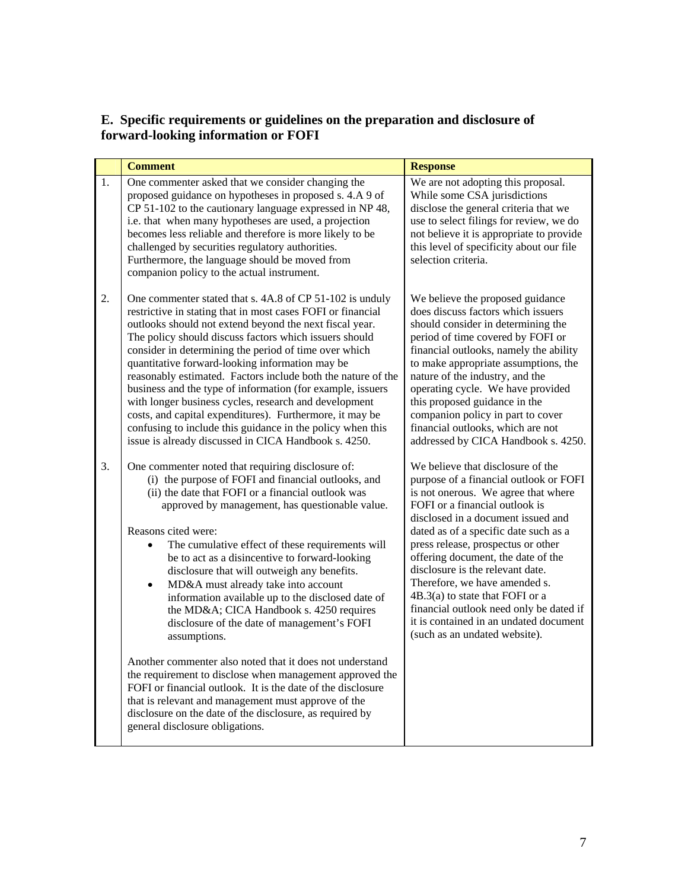### **E. Specific requirements or guidelines on the preparation and disclosure of forward-looking information or FOFI**

|    | <b>Comment</b>                                                                                                                                                                                                                                                                                                                                                                                                                                                                                                                                                                                                                                                                                                                    | <b>Response</b>                                                                                                                                                                                                                                                                                                                                                                                                                                                                                                                                 |
|----|-----------------------------------------------------------------------------------------------------------------------------------------------------------------------------------------------------------------------------------------------------------------------------------------------------------------------------------------------------------------------------------------------------------------------------------------------------------------------------------------------------------------------------------------------------------------------------------------------------------------------------------------------------------------------------------------------------------------------------------|-------------------------------------------------------------------------------------------------------------------------------------------------------------------------------------------------------------------------------------------------------------------------------------------------------------------------------------------------------------------------------------------------------------------------------------------------------------------------------------------------------------------------------------------------|
| 1. | One commenter asked that we consider changing the<br>proposed guidance on hypotheses in proposed s. 4.A 9 of<br>CP 51-102 to the cautionary language expressed in NP 48,<br>i.e. that when many hypotheses are used, a projection<br>becomes less reliable and therefore is more likely to be<br>challenged by securities regulatory authorities.<br>Furthermore, the language should be moved from<br>companion policy to the actual instrument.                                                                                                                                                                                                                                                                                 | We are not adopting this proposal.<br>While some CSA jurisdictions<br>disclose the general criteria that we<br>use to select filings for review, we do<br>not believe it is appropriate to provide<br>this level of specificity about our file<br>selection criteria.                                                                                                                                                                                                                                                                           |
| 2. | One commenter stated that s. 4A.8 of CP 51-102 is unduly<br>restrictive in stating that in most cases FOFI or financial<br>outlooks should not extend beyond the next fiscal year.<br>The policy should discuss factors which issuers should<br>consider in determining the period of time over which<br>quantitative forward-looking information may be<br>reasonably estimated. Factors include both the nature of the<br>business and the type of information (for example, issuers<br>with longer business cycles, research and development<br>costs, and capital expenditures). Furthermore, it may be<br>confusing to include this guidance in the policy when this<br>issue is already discussed in CICA Handbook s. 4250. | We believe the proposed guidance<br>does discuss factors which issuers<br>should consider in determining the<br>period of time covered by FOFI or<br>financial outlooks, namely the ability<br>to make appropriate assumptions, the<br>nature of the industry, and the<br>operating cycle. We have provided<br>this proposed guidance in the<br>companion policy in part to cover<br>financial outlooks, which are not<br>addressed by CICA Handbook s. 4250.                                                                                   |
| 3. | One commenter noted that requiring disclosure of:<br>(i) the purpose of FOFI and financial outlooks, and<br>(ii) the date that FOFI or a financial outlook was<br>approved by management, has questionable value.<br>Reasons cited were:<br>The cumulative effect of these requirements will<br>$\bullet$<br>be to act as a disincentive to forward-looking<br>disclosure that will outweigh any benefits.<br>MD&A must already take into account<br>$\bullet$<br>information available up to the disclosed date of<br>the MD&A CICA Handbook s. 4250 requires<br>disclosure of the date of management's FOFI<br>assumptions.                                                                                                     | We believe that disclosure of the<br>purpose of a financial outlook or FOFI<br>is not onerous. We agree that where<br>FOFI or a financial outlook is<br>disclosed in a document issued and<br>dated as of a specific date such as a<br>press release, prospectus or other<br>offering document, the date of the<br>disclosure is the relevant date.<br>Therefore, we have amended s.<br>$4B.3(a)$ to state that FOFI or a<br>financial outlook need only be dated if<br>it is contained in an undated document<br>(such as an undated website). |
|    | Another commenter also noted that it does not understand<br>the requirement to disclose when management approved the<br>FOFI or financial outlook. It is the date of the disclosure<br>that is relevant and management must approve of the<br>disclosure on the date of the disclosure, as required by<br>general disclosure obligations.                                                                                                                                                                                                                                                                                                                                                                                         |                                                                                                                                                                                                                                                                                                                                                                                                                                                                                                                                                 |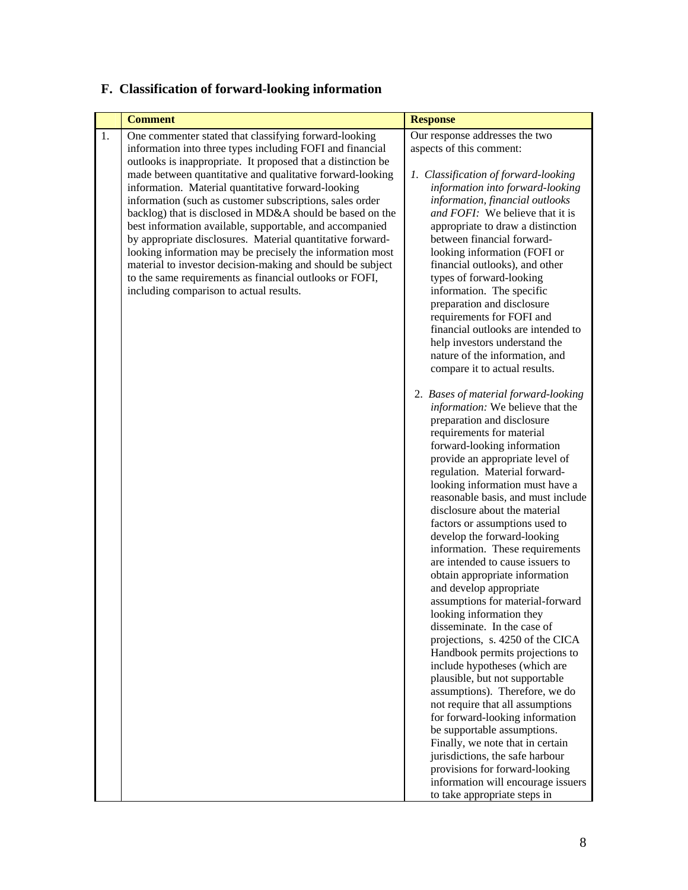| <b>Comment</b> |                                                                                                                                                                                                                                                                                                                                                                                                                                                                                                                                                                                                                                                                                                                                                                                           | <b>Response</b>                                                                                                                                                                                                                                                                                                                                                                                                                                                                                                                                                                                                                                                                                                                                                                                                                                                                                                                                                                                                                                                                                                                                                                                                                                                                                                                                                                                                                                                                                                                                                                                                                                                                                                                          |
|----------------|-------------------------------------------------------------------------------------------------------------------------------------------------------------------------------------------------------------------------------------------------------------------------------------------------------------------------------------------------------------------------------------------------------------------------------------------------------------------------------------------------------------------------------------------------------------------------------------------------------------------------------------------------------------------------------------------------------------------------------------------------------------------------------------------|------------------------------------------------------------------------------------------------------------------------------------------------------------------------------------------------------------------------------------------------------------------------------------------------------------------------------------------------------------------------------------------------------------------------------------------------------------------------------------------------------------------------------------------------------------------------------------------------------------------------------------------------------------------------------------------------------------------------------------------------------------------------------------------------------------------------------------------------------------------------------------------------------------------------------------------------------------------------------------------------------------------------------------------------------------------------------------------------------------------------------------------------------------------------------------------------------------------------------------------------------------------------------------------------------------------------------------------------------------------------------------------------------------------------------------------------------------------------------------------------------------------------------------------------------------------------------------------------------------------------------------------------------------------------------------------------------------------------------------------|
| 1.             | One commenter stated that classifying forward-looking<br>information into three types including FOFI and financial<br>outlooks is inappropriate. It proposed that a distinction be<br>made between quantitative and qualitative forward-looking<br>information. Material quantitative forward-looking<br>information (such as customer subscriptions, sales order<br>backlog) that is disclosed in MD&A should be based on the<br>best information available, supportable, and accompanied<br>by appropriate disclosures. Material quantitative forward-<br>looking information may be precisely the information most<br>material to investor decision-making and should be subject<br>to the same requirements as financial outlooks or FOFI,<br>including comparison to actual results. | Our response addresses the two<br>aspects of this comment:<br>1. Classification of forward-looking<br>information into forward-looking<br>information, financial outlooks<br>and FOFI: We believe that it is<br>appropriate to draw a distinction<br>between financial forward-<br>looking information (FOFI or<br>financial outlooks), and other<br>types of forward-looking<br>information. The specific<br>preparation and disclosure<br>requirements for FOFI and<br>financial outlooks are intended to<br>help investors understand the<br>nature of the information, and<br>compare it to actual results.<br>2. Bases of material forward-looking<br>information: We believe that the<br>preparation and disclosure<br>requirements for material<br>forward-looking information<br>provide an appropriate level of<br>regulation. Material forward-<br>looking information must have a<br>reasonable basis, and must include<br>disclosure about the material<br>factors or assumptions used to<br>develop the forward-looking<br>information. These requirements<br>are intended to cause issuers to<br>obtain appropriate information<br>and develop appropriate<br>assumptions for material-forward<br>looking information they<br>disseminate. In the case of<br>projections, s. 4250 of the CICA<br>Handbook permits projections to<br>include hypotheses (which are<br>plausible, but not supportable<br>assumptions). Therefore, we do<br>not require that all assumptions<br>for forward-looking information<br>be supportable assumptions.<br>Finally, we note that in certain<br>jurisdictions, the safe harbour<br>provisions for forward-looking<br>information will encourage issuers<br>to take appropriate steps in |

# **F. Classification of forward-looking information**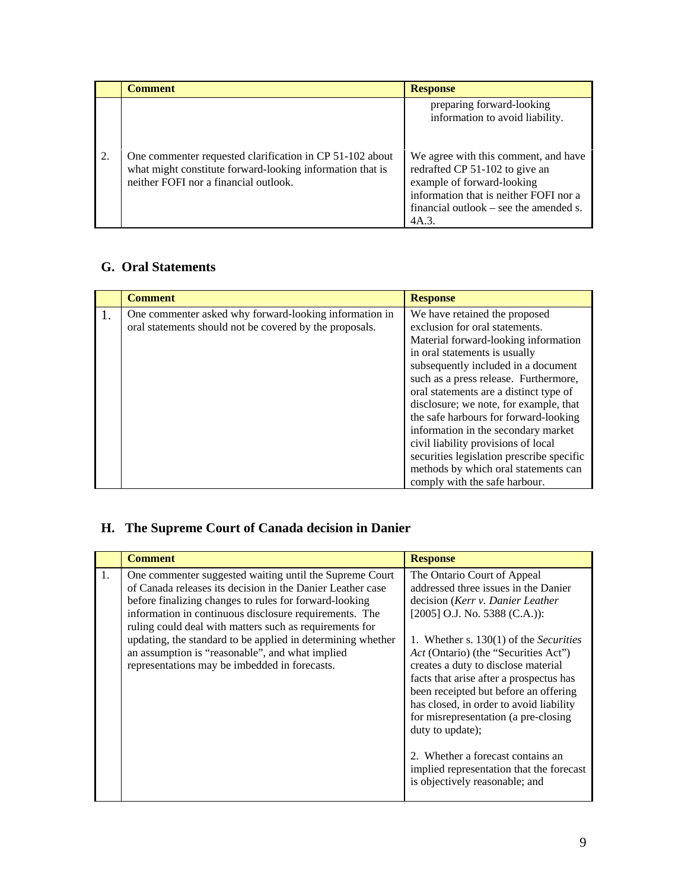|    | <b>Comment</b>                                                                                                                                                 | <b>Response</b>                                                                                                                                                                                   |
|----|----------------------------------------------------------------------------------------------------------------------------------------------------------------|---------------------------------------------------------------------------------------------------------------------------------------------------------------------------------------------------|
|    |                                                                                                                                                                | preparing forward-looking<br>information to avoid liability.                                                                                                                                      |
| 2. | One commenter requested clarification in CP 51-102 about<br>what might constitute forward-looking information that is<br>neither FOFI nor a financial outlook. | We agree with this comment, and have<br>redrafted CP 51-102 to give an<br>example of forward-looking<br>information that is neither FOFI nor a<br>financial outlook – see the amended s.<br>4A.3. |

### **G. Oral Statements**

| <b>Comment</b>                                                                                                    | <b>Response</b>                                                                                                                                                                                                                                                                                                                                                                              |
|-------------------------------------------------------------------------------------------------------------------|----------------------------------------------------------------------------------------------------------------------------------------------------------------------------------------------------------------------------------------------------------------------------------------------------------------------------------------------------------------------------------------------|
| One commenter asked why forward-looking information in<br>oral statements should not be covered by the proposals. | We have retained the proposed<br>exclusion for oral statements.<br>Material forward-looking information<br>in oral statements is usually<br>subsequently included in a document<br>such as a press release. Furthermore,<br>oral statements are a distinct type of<br>disclosure; we note, for example, that<br>the safe harbours for forward-looking<br>information in the secondary market |
|                                                                                                                   | civil liability provisions of local<br>securities legislation prescribe specific<br>methods by which oral statements can<br>comply with the safe harbour.                                                                                                                                                                                                                                    |

# **H. The Supreme Court of Canada decision in Danier**

| <b>Comment</b>                                                                                                                                                                                                                                                                                                                                                                                                                                                                | <b>Response</b>                                                                                                                                                                                                                                                                                                                                                                                                                                                                                                                                                                          |
|-------------------------------------------------------------------------------------------------------------------------------------------------------------------------------------------------------------------------------------------------------------------------------------------------------------------------------------------------------------------------------------------------------------------------------------------------------------------------------|------------------------------------------------------------------------------------------------------------------------------------------------------------------------------------------------------------------------------------------------------------------------------------------------------------------------------------------------------------------------------------------------------------------------------------------------------------------------------------------------------------------------------------------------------------------------------------------|
| One commenter suggested waiting until the Supreme Court<br>1.<br>of Canada releases its decision in the Danier Leather case<br>before finalizing changes to rules for forward-looking<br>information in continuous disclosure requirements. The<br>ruling could deal with matters such as requirements for<br>updating, the standard to be applied in determining whether<br>an assumption is "reasonable", and what implied<br>representations may be imbedded in forecasts. | The Ontario Court of Appeal<br>addressed three issues in the Danier<br>decision (Kerr v. Danier Leather<br>[2005] O.J. No. 5388 (C.A.)):<br>1. Whether s. $130(1)$ of the <i>Securities</i><br>Act (Ontario) (the "Securities Act")<br>creates a duty to disclose material<br>facts that arise after a prospectus has<br>been receipted but before an offering<br>has closed, in order to avoid liability<br>for misrepresentation (a pre-closing<br>duty to update);<br>2. Whether a forecast contains an<br>implied representation that the forecast<br>is objectively reasonable; and |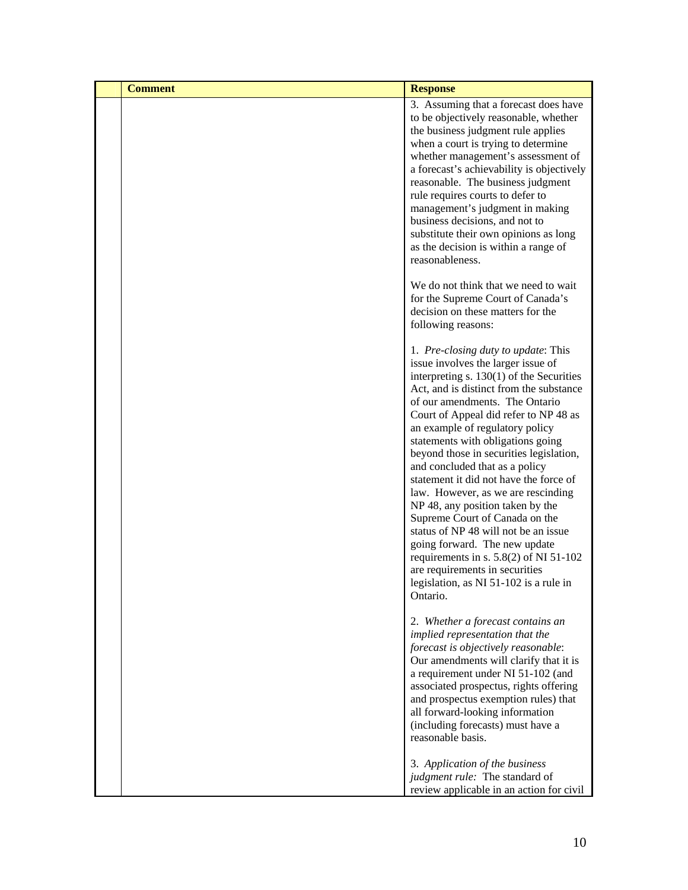| <b>Comment</b> | <b>Response</b>                                                                                                                                                                                                                                                                                                                                                                                                                                                                                                                                                                                                                                                                                                                                                         |
|----------------|-------------------------------------------------------------------------------------------------------------------------------------------------------------------------------------------------------------------------------------------------------------------------------------------------------------------------------------------------------------------------------------------------------------------------------------------------------------------------------------------------------------------------------------------------------------------------------------------------------------------------------------------------------------------------------------------------------------------------------------------------------------------------|
|                | 3. Assuming that a forecast does have<br>to be objectively reasonable, whether<br>the business judgment rule applies<br>when a court is trying to determine<br>whether management's assessment of<br>a forecast's achievability is objectively<br>reasonable. The business judgment<br>rule requires courts to defer to<br>management's judgment in making<br>business decisions, and not to<br>substitute their own opinions as long<br>as the decision is within a range of<br>reasonableness.                                                                                                                                                                                                                                                                        |
|                | We do not think that we need to wait<br>for the Supreme Court of Canada's<br>decision on these matters for the<br>following reasons:                                                                                                                                                                                                                                                                                                                                                                                                                                                                                                                                                                                                                                    |
|                | 1. Pre-closing duty to update: This<br>issue involves the larger issue of<br>interpreting $s. 130(1)$ of the Securities<br>Act, and is distinct from the substance<br>of our amendments. The Ontario<br>Court of Appeal did refer to NP 48 as<br>an example of regulatory policy<br>statements with obligations going<br>beyond those in securities legislation,<br>and concluded that as a policy<br>statement it did not have the force of<br>law. However, as we are rescinding<br>NP 48, any position taken by the<br>Supreme Court of Canada on the<br>status of NP 48 will not be an issue<br>going forward. The new update<br>requirements in s. $5.8(2)$ of NI $51-102$<br>are requirements in securities<br>legislation, as NI 51-102 is a rule in<br>Ontario. |
|                | 2. Whether a forecast contains an<br>implied representation that the<br>forecast is objectively reasonable:<br>Our amendments will clarify that it is<br>a requirement under NI 51-102 (and<br>associated prospectus, rights offering<br>and prospectus exemption rules) that<br>all forward-looking information<br>(including forecasts) must have a<br>reasonable basis.                                                                                                                                                                                                                                                                                                                                                                                              |
|                | 3. Application of the business<br>judgment rule: The standard of<br>review applicable in an action for civil                                                                                                                                                                                                                                                                                                                                                                                                                                                                                                                                                                                                                                                            |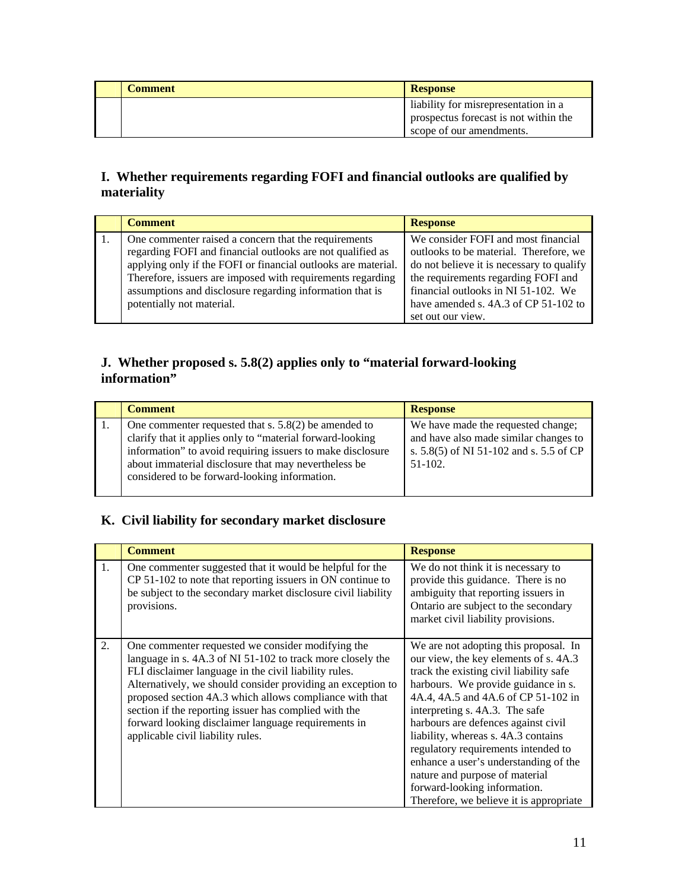| Comment | <b>Response</b>                                                                                           |
|---------|-----------------------------------------------------------------------------------------------------------|
|         | liability for misrepresentation in a<br>prospectus forecast is not within the<br>scope of our amendments. |

### **I. Whether requirements regarding FOFI and financial outlooks are qualified by materiality**

| <b>Comment</b>                                                | <b>Response</b>                           |  |
|---------------------------------------------------------------|-------------------------------------------|--|
| One commenter raised a concern that the requirements          | We consider FOFI and most financial       |  |
| regarding FOFI and financial outlooks are not qualified as    | outlooks to be material. Therefore, we    |  |
| applying only if the FOFI or financial outlooks are material. | do not believe it is necessary to qualify |  |
| Therefore, issuers are imposed with requirements regarding    | the requirements regarding FOFI and       |  |
| assumptions and disclosure regarding information that is      | financial outlooks in NI 51-102. We       |  |
| potentially not material.                                     | have amended s. 4A.3 of CP 51-102 to      |  |
|                                                               | set out our view.                         |  |

### **J. Whether proposed s. 5.8(2) applies only to "material forward-looking information"**

| <b>Comment</b>                                                                                                                                                                                                                                                                             | <b>Response</b>                                                                                                                     |
|--------------------------------------------------------------------------------------------------------------------------------------------------------------------------------------------------------------------------------------------------------------------------------------------|-------------------------------------------------------------------------------------------------------------------------------------|
| One commenter requested that s. $5.8(2)$ be amended to<br>clarify that it applies only to "material forward-looking<br>information" to avoid requiring issuers to make disclosure<br>about immaterial disclosure that may nevertheless be<br>considered to be forward-looking information. | We have made the requested change;<br>and have also made similar changes to<br>s. 5.8(5) of NI 51-102 and s. 5.5 of CP<br>$51-102.$ |

## **K. Civil liability for secondary market disclosure**

|    | <b>Comment</b>                                                                                                                                                                                                                                                                                                                                                                                                                                          | <b>Response</b>                                                                                                                                                                                                                                                                                                                                                                                                                                                                                                      |
|----|---------------------------------------------------------------------------------------------------------------------------------------------------------------------------------------------------------------------------------------------------------------------------------------------------------------------------------------------------------------------------------------------------------------------------------------------------------|----------------------------------------------------------------------------------------------------------------------------------------------------------------------------------------------------------------------------------------------------------------------------------------------------------------------------------------------------------------------------------------------------------------------------------------------------------------------------------------------------------------------|
| 1. | One commenter suggested that it would be helpful for the<br>CP 51-102 to note that reporting issuers in ON continue to<br>be subject to the secondary market disclosure civil liability<br>provisions.                                                                                                                                                                                                                                                  | We do not think it is necessary to<br>provide this guidance. There is no<br>ambiguity that reporting issuers in<br>Ontario are subject to the secondary<br>market civil liability provisions.                                                                                                                                                                                                                                                                                                                        |
| 2. | One commenter requested we consider modifying the<br>language in s. 4A.3 of NI 51-102 to track more closely the<br>FLI disclaimer language in the civil liability rules.<br>Alternatively, we should consider providing an exception to<br>proposed section 4A.3 which allows compliance with that<br>section if the reporting issuer has complied with the<br>forward looking disclaimer language requirements in<br>applicable civil liability rules. | We are not adopting this proposal. In<br>our view, the key elements of s. 4A.3<br>track the existing civil liability safe<br>harbours. We provide guidance in s.<br>4A.4, 4A.5 and 4A.6 of CP 51-102 in<br>interpreting s. 4A.3. The safe<br>harbours are defences against civil<br>liability, whereas s. 4A.3 contains<br>regulatory requirements intended to<br>enhance a user's understanding of the<br>nature and purpose of material<br>forward-looking information.<br>Therefore, we believe it is appropriate |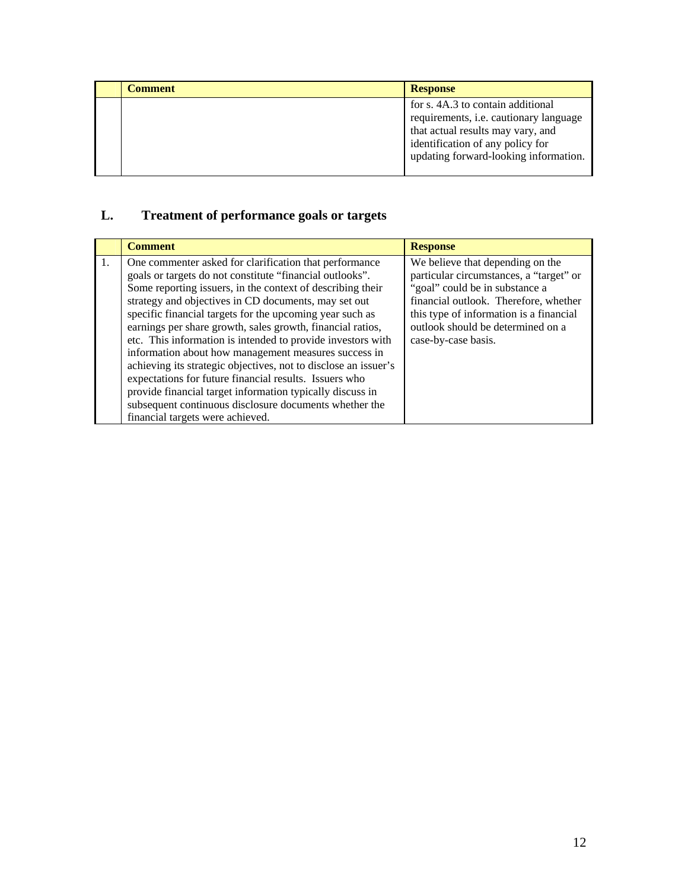| <b>Comment</b> | <b>Response</b>                                                                                                                                                                               |
|----------------|-----------------------------------------------------------------------------------------------------------------------------------------------------------------------------------------------|
|                | for s. 4A.3 to contain additional<br>requirements, i.e. cautionary language<br>that actual results may vary, and<br>identification of any policy for<br>updating forward-looking information. |

# **L. Treatment of performance goals or targets**

|                  | <b>Comment</b>                                                                                                                                                                                                                                                                                                                                                                                                                                                                                                                                                                                                                                                                                                                                                                    | <b>Response</b>                                                                                                                                                                                                                                               |
|------------------|-----------------------------------------------------------------------------------------------------------------------------------------------------------------------------------------------------------------------------------------------------------------------------------------------------------------------------------------------------------------------------------------------------------------------------------------------------------------------------------------------------------------------------------------------------------------------------------------------------------------------------------------------------------------------------------------------------------------------------------------------------------------------------------|---------------------------------------------------------------------------------------------------------------------------------------------------------------------------------------------------------------------------------------------------------------|
| $\overline{1}$ . | One commenter asked for clarification that performance<br>goals or targets do not constitute "financial outlooks".<br>Some reporting issuers, in the context of describing their<br>strategy and objectives in CD documents, may set out<br>specific financial targets for the upcoming year such as<br>earnings per share growth, sales growth, financial ratios,<br>etc. This information is intended to provide investors with<br>information about how management measures success in<br>achieving its strategic objectives, not to disclose an issuer's<br>expectations for future financial results. Issuers who<br>provide financial target information typically discuss in<br>subsequent continuous disclosure documents whether the<br>financial targets were achieved. | We believe that depending on the<br>particular circumstances, a "target" or<br>"goal" could be in substance a<br>financial outlook. Therefore, whether<br>this type of information is a financial<br>outlook should be determined on a<br>case-by-case basis. |